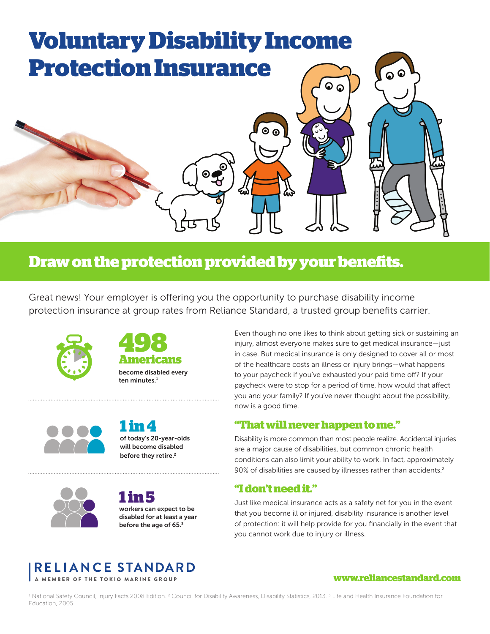# **Voluntary Disability Income Protection Insurance**

## **Draw on the protection provided by your benefits.**

Great news! Your employer is offering you the opportunity to purchase disability income protection insurance at group rates from Reliance Standard, a trusted group benefits carrier.







**1 in 4** of today's 20-year-olds will become disabled before they retire.<sup>2</sup>



**1 in 5** workers can expect to be disabled for at least a year before the age of 65.<sup>3</sup>

Even though no one likes to think about getting sick or sustaining an injury, almost everyone makes sure to get medical insurance—just in case. But medical insurance is only designed to cover all or most of the healthcare costs an illness or injury brings—what happens to your paycheck if you've exhausted your paid time off? If your paycheck were to stop for a period of time, how would that affect you and your family? If you've never thought about the possibility, now is a good time.

## **"That will never happen to me."**

Disability is more common than most people realize. Accidental injuries are a major cause of disabilities, but common chronic health conditions can also limit your ability to work. In fact, approximately 90% of disabilities are caused by illnesses rather than accidents.<sup>2</sup>

## **"I don't need it."**

Just like medical insurance acts as a safety net for you in the event that you become ill or injured, disability insurance is another level of protection: it will help provide for you financially in the event that you cannot work due to injury or illness.



#### **www.reliancestandard.com**

 $^{\rm t}$  National Safety Council, Injury Facts 2008 Edition. <sup>2</sup> Council for Disability Awareness, Disability Statistics, 2013.  $^{\rm 3}$  Life and Health Insurance Foundation for Education, 2005.